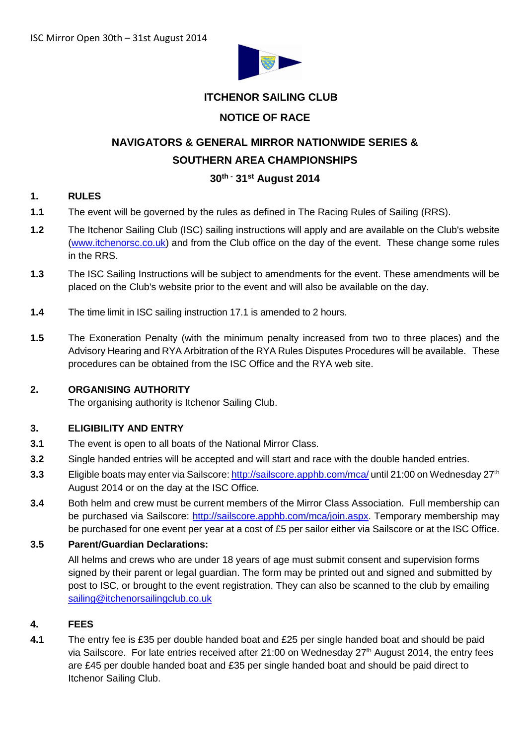

## **ITCHENOR SAILING CLUB**

## **NOTICE OF RACE**

# **NAVIGATORS & GENERAL MIRROR NATIONWIDE SERIES & SOUTHERN AREA CHAMPIONSHIPS**

## **30th - 31st August 2014**

## **1. RULES**

- **1.1** The event will be governed by the rules as defined in The Racing Rules of Sailing (RRS).
- **1.2** The Itchenor Sailing Club (ISC) sailing instructions will apply and are available on the Club's website [\(www.itchenorsc.co.uk\)](http://www.itchenorsc.co.uk/) and from the Club office on the day of the event. These change some rules in the RRS.
- **1.3** The ISC Sailing Instructions will be subject to amendments for the event. These amendments will be placed on the Club's website prior to the event and will also be available on the day.
- **1.4** The time limit in ISC sailing instruction 17.1 is amended to 2 hours.
- **1.5** The Exoneration Penalty (with the minimum penalty increased from two to three places) and the Advisory Hearing and RYA Arbitration of the RYA Rules Disputes Procedures will be available. These procedures can be obtained from the ISC Office and the RYA web site.

#### **2. ORGANISING AUTHORITY**

The organising authority is Itchenor Sailing Club.

#### **3. ELIGIBILITY AND ENTRY**

- **3.1** The event is open to all boats of the National Mirror Class.
- **3.2** Single handed entries will be accepted and will start and race with the double handed entries.
- **3.3** Eligible boats may enter via Sailscore: <http://sailscore.apphb.com/mca/> until 21:00 on Wednesday 27th August 2014 or on the day at the ISC Office.
- **3.4** Both helm and crew must be current members of the Mirror Class Association. Full membership can be purchased via Sailscore: [http://sailscore.apphb.com/mca/join.aspx.](http://sailscore.apphb.com/mca/join.aspx) Temporary membership may be purchased for one event per year at a cost of £5 per sailor either via Sailscore or at the ISC Office.

## **3.5 Parent/Guardian Declarations:**

All helms and crews who are under 18 years of age must submit consent and supervision forms signed by their parent or legal guardian. The form may be printed out and signed and submitted by post to ISC, or brought to the event registration. They can also be scanned to the club by emailing [sailing@itchenorsailingclub.co.uk](mailto:sailing@itchenorsailingclub.co.uk)

#### **4. FEES**

**4.1** The entry fee is £35 per double handed boat and £25 per single handed boat and should be paid via Sailscore. For late entries received after 21:00 on Wednesday 27<sup>th</sup> August 2014, the entry fees are £45 per double handed boat and £35 per single handed boat and should be paid direct to Itchenor Sailing Club.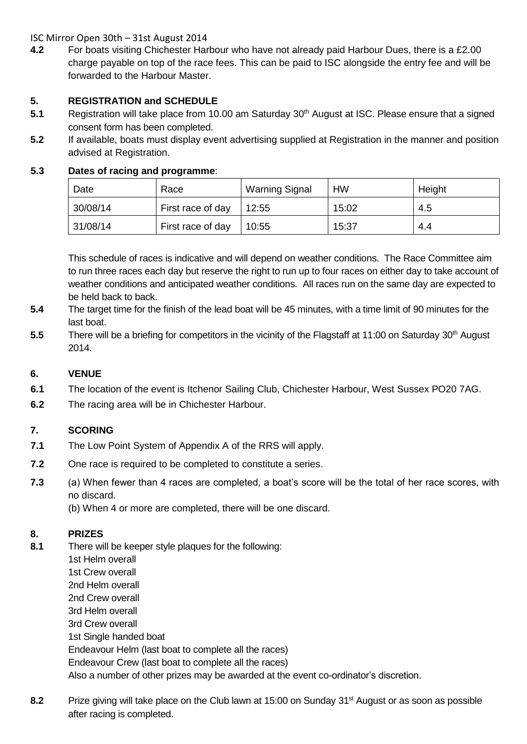ISC Mirror Open 30th – 31st August 2014

**4.2** For boats visiting Chichester Harbour who have not already paid Harbour Dues, there is a £2.00 charge payable on top of the race fees. This can be paid to ISC alongside the entry fee and will be forwarded to the Harbour Master.

## **5. REGISTRATION and SCHEDULE**

- **5.1** Registration will take place from 10.00 am Saturday 30<sup>th</sup> August at ISC. Please ensure that a signed consent form has been completed.
- **5.2** If available, boats must display event advertising supplied at Registration in the manner and position advised at Registration.

## **5.3 Dates of racing and programme**:

| Date     | Race              | <b>Warning Signal</b> | HW    | Height |
|----------|-------------------|-----------------------|-------|--------|
| 30/08/14 | First race of day | 12:55                 | 15:02 | 4.5    |
| 31/08/14 | First race of day | 10:55                 | 15:37 | 4.4    |

This schedule of races is indicative and will depend on weather conditions. The Race Committee aim to run three races each day but reserve the right to run up to four races on either day to take account of weather conditions and anticipated weather conditions. All races run on the same day are expected to be held back to back.

- **5.4** The target time for the finish of the lead boat will be 45 minutes, with a time limit of 90 minutes for the last boat.
- **5.5** There will be a briefing for competitors in the vicinity of the Flagstaff at 11:00 on Saturday 30<sup>th</sup> August 2014.

## **6. VENUE**

- **6.1** The location of the event is Itchenor Sailing Club, Chichester Harbour, West Sussex PO20 7AG.
- **6.2** The racing area will be in Chichester Harbour.

## **7. SCORING**

- **7.1** The Low Point System of Appendix A of the RRS will apply.
- **7.2** One race is required to be completed to constitute a series.
- **7.3** (a) When fewer than 4 races are completed, a boat's score will be the total of her race scores, with no discard.
	- (b) When 4 or more are completed, there will be one discard.

## **8. PRIZES**

- **8.1** There will be keeper style plaques for the following: 1st Helm overall 1st Crew overall 2nd Helm overall 2nd Crew overall 3rd Helm overall 3rd Crew overall 1st Single handed boat Endeavour Helm (last boat to complete all the races) Endeavour Crew (last boat to complete all the races) Also a number of other prizes may be awarded at the event co-ordinator's discretion.
- **8.2** Prize giving will take place on the Club lawn at 15:00 on Sunday 31<sup>st</sup> August or as soon as possible after racing is completed.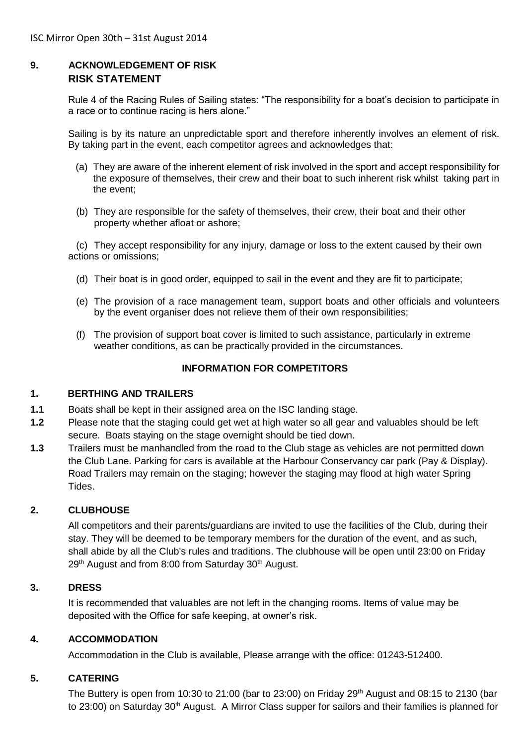## **9. ACKNOWLEDGEMENT OF RISK RISK STATEMENT**

Rule 4 of the Racing Rules of Sailing states: "The responsibility for a boat's decision to participate in a race or to continue racing is hers alone."

Sailing is by its nature an unpredictable sport and therefore inherently involves an element of risk. By taking part in the event, each competitor agrees and acknowledges that:

- (a) They are aware of the inherent element of risk involved in the sport and accept responsibility for the exposure of themselves, their crew and their boat to such inherent risk whilst taking part in the event;
- (b) They are responsible for the safety of themselves, their crew, their boat and their other property whether afloat or ashore;

(c) They accept responsibility for any injury, damage or loss to the extent caused by their own actions or omissions;

- (d) Their boat is in good order, equipped to sail in the event and they are fit to participate;
- (e) The provision of a race management team, support boats and other officials and volunteers by the event organiser does not relieve them of their own responsibilities;
- (f) The provision of support boat cover is limited to such assistance, particularly in extreme weather conditions, as can be practically provided in the circumstances.

## **INFORMATION FOR COMPETITORS**

#### **1. BERTHING AND TRAILERS**

- **1.1** Boats shall be kept in their assigned area on the ISC landing stage.
- **1.2** Please note that the staging could get wet at high water so all gear and valuables should be left secure. Boats staying on the stage overnight should be tied down.
- **1.3** Trailers must be manhandled from the road to the Club stage as vehicles are not permitted down the Club Lane. Parking for cars is available at the Harbour Conservancy car park (Pay & Display). Road Trailers may remain on the staging; however the staging may flood at high water Spring Tides.

## **2. CLUBHOUSE**

All competitors and their parents/guardians are invited to use the facilities of the Club, during their stay. They will be deemed to be temporary members for the duration of the event, and as such, shall abide by all the Club's rules and traditions. The clubhouse will be open until 23:00 on Friday 29<sup>th</sup> August and from 8:00 from Saturday 30<sup>th</sup> August.

#### **3. DRESS**

It is recommended that valuables are not left in the changing rooms. Items of value may be deposited with the Office for safe keeping, at owner's risk.

#### **4. ACCOMMODATION**

Accommodation in the Club is available, Please arrange with the office: 01243-512400.

#### **5. CATERING**

The Buttery is open from 10:30 to 21:00 (bar to 23:00) on Friday  $29<sup>th</sup>$  August and 08:15 to 2130 (bar to 23:00) on Saturday 30<sup>th</sup> August. A Mirror Class supper for sailors and their families is planned for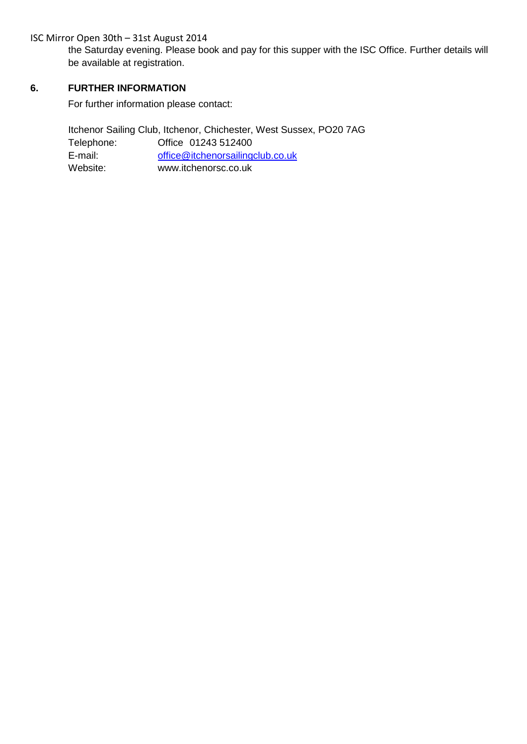ISC Mirror Open 30th – 31st August 2014

the Saturday evening. Please book and pay for this supper with the ISC Office. Further details will be available at registration.

## **6. FURTHER INFORMATION**

For further information please contact:

Itchenor Sailing Club, Itchenor, Chichester, West Sussex, PO20 7AG Telephone: Office 01243 512400 E-mail: [office@itchenorsailingclub.co.uk](mailto:office@itchenorsailingclub.co.uk) Website: www.itchenorsc.co.uk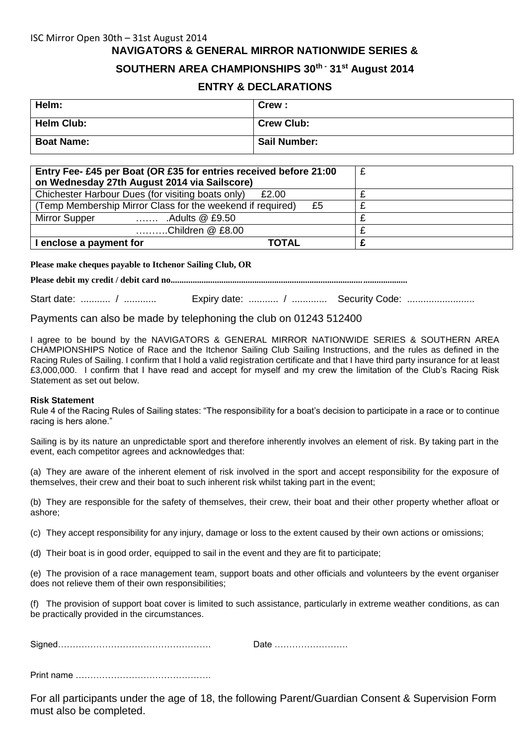# **NAVIGATORS & GENERAL MIRROR NATIONWIDE SERIES &**

## **SOUTHERN AREA CHAMPIONSHIPS 30th - 31st August 2014**

#### **ENTRY & DECLARATIONS**

| Helm:             | Crew:               |
|-------------------|---------------------|
| Helm Club:        | <b>Crew Club:</b>   |
| <b>Boat Name:</b> | <b>Sail Number:</b> |

| Entry Fee- £45 per Boat (OR £35 for entries received before 21:00<br>on Wednesday 27th August 2014 via Sailscore) | £ |
|-------------------------------------------------------------------------------------------------------------------|---|
| Chichester Harbour Dues (for visiting boats only)<br>£2.00                                                        |   |
| (Temp Membership Mirror Class for the weekend if required)<br>£5                                                  |   |
| Mirror Supper<br>.Adults $@$ £9.50<br>.                                                                           |   |
| Children @ £8.00                                                                                                  |   |
| I enclose a payment for<br>TOTAL                                                                                  |   |

**Please make cheques payable to Itchenor Sailing Club, OR** 

**Please debit my credit / debit card no...........................................................................................................**

Start date: ........... / ............ Expiry date: ........... / ............. Security Code: .........................

Payments can also be made by telephoning the club on 01243 512400

I agree to be bound by the NAVIGATORS & GENERAL MIRROR NATIONWIDE SERIES & SOUTHERN AREA CHAMPIONSHIPS Notice of Race and the Itchenor Sailing Club Sailing Instructions, and the rules as defined in the Racing Rules of Sailing. I confirm that I hold a valid registration certificate and that I have third party insurance for at least £3,000,000. I confirm that I have read and accept for myself and my crew the limitation of the Club's Racing Risk Statement as set out below.

#### **Risk Statement**

Rule 4 of the Racing Rules of Sailing states: "The responsibility for a boat's decision to participate in a race or to continue racing is hers alone."

Sailing is by its nature an unpredictable sport and therefore inherently involves an element of risk. By taking part in the event, each competitor agrees and acknowledges that:

(a) They are aware of the inherent element of risk involved in the sport and accept responsibility for the exposure of themselves, their crew and their boat to such inherent risk whilst taking part in the event;

(b) They are responsible for the safety of themselves, their crew, their boat and their other property whether afloat or ashore;

(c) They accept responsibility for any injury, damage or loss to the extent caused by their own actions or omissions;

(d) Their boat is in good order, equipped to sail in the event and they are fit to participate;

(e) The provision of a race management team, support boats and other officials and volunteers by the event organiser does not relieve them of their own responsibilities;

(f) The provision of support boat cover is limited to such assistance, particularly in extreme weather conditions, as can be practically provided in the circumstances.

| <b>.</b><br>Signed………………………………………………… | all |
|---------------------------------------|-----|
|---------------------------------------|-----|

Print name ……………………………………….

For all participants under the age of 18, the following Parent/Guardian Consent & Supervision Form must also be completed.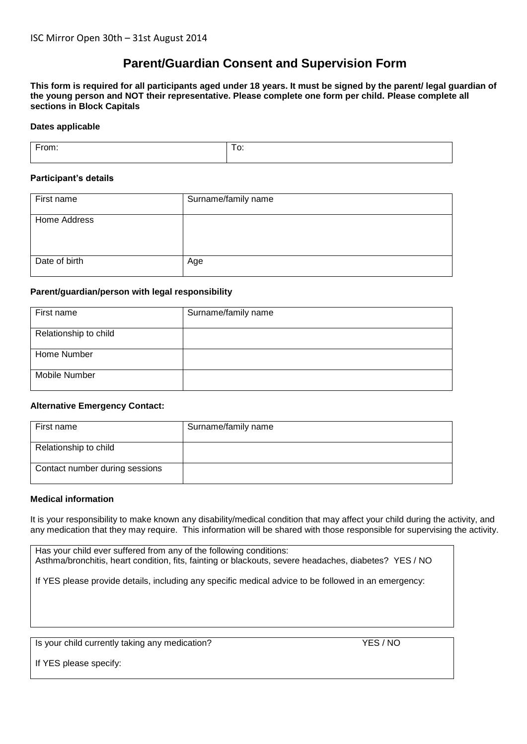## **Parent/Guardian Consent and Supervision Form**

**This form is required for all participants aged under 18 years. It must be signed by the parent/ legal guardian of the young person and NOT their representative. Please complete one form per child. Please complete all sections in Block Capitals**

#### **Dates applicable**

| $\overline{\phantom{a}}$ | - |
|--------------------------|---|
| .                        | ∽ |
| лн.                      | ັ |
|                          |   |

#### **Participant's details**

| First name    | Surname/family name |
|---------------|---------------------|
| Home Address  |                     |
| Date of birth | Age                 |

#### **Parent/guardian/person with legal responsibility**

| First name            | Surname/family name |
|-----------------------|---------------------|
| Relationship to child |                     |
| Home Number           |                     |
| Mobile Number         |                     |

#### **Alternative Emergency Contact:**

| First name                     | Surname/family name |
|--------------------------------|---------------------|
| Relationship to child          |                     |
| Contact number during sessions |                     |

#### **Medical information**

It is your responsibility to make known any disability/medical condition that may affect your child during the activity, and any medication that they may require. This information will be shared with those responsible for supervising the activity.

Has your child ever suffered from any of the following conditions: Asthma/bronchitis, heart condition, fits, fainting or blackouts, severe headaches, diabetes? YES / NO

If YES please provide details, including any specific medical advice to be followed in an emergency:

Is your child currently taking any medication? YES / NO

If YES please specify: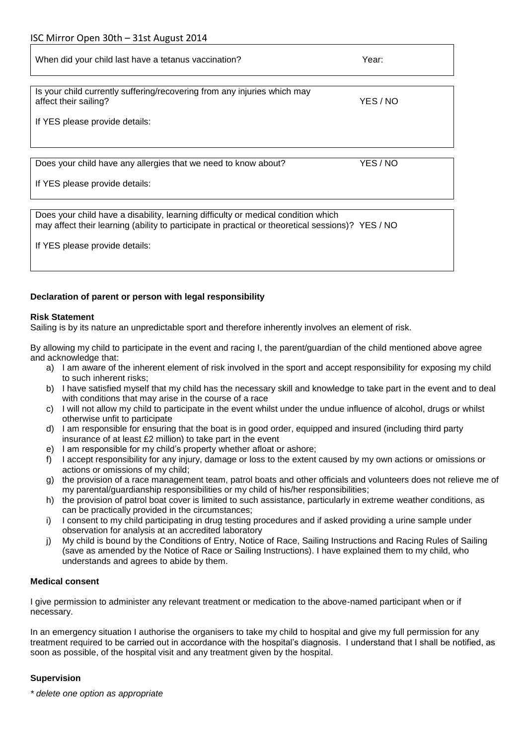| When did your child last have a tetanus vaccination?                                              | Year:    |
|---------------------------------------------------------------------------------------------------|----------|
| Is your child currently suffering/recovering from any injuries which may<br>affect their sailing? | YES / NO |
| If YES please provide details:                                                                    |          |
| Does your child have any allergies that we need to know about?<br>If YES please provide details:  | YES / NO |

Does your child have a disability, learning difficulty or medical condition which may affect their learning (ability to participate in practical or theoretical sessions)? YES / NO

If YES please provide details:

#### **Declaration of parent or person with legal responsibility**

#### **Risk Statement**

Sailing is by its nature an unpredictable sport and therefore inherently involves an element of risk.

By allowing my child to participate in the event and racing I, the parent/guardian of the child mentioned above agree and acknowledge that:

- a) I am aware of the inherent element of risk involved in the sport and accept responsibility for exposing my child to such inherent risks;
- b) I have satisfied myself that my child has the necessary skill and knowledge to take part in the event and to deal with conditions that may arise in the course of a race
- c) I will not allow my child to participate in the event whilst under the undue influence of alcohol, drugs or whilst otherwise unfit to participate
- d) I am responsible for ensuring that the boat is in good order, equipped and insured (including third party insurance of at least £2 million) to take part in the event
- e) I am responsible for my child's property whether afloat or ashore;
- f) I accept responsibility for any injury, damage or loss to the extent caused by my own actions or omissions or actions or omissions of my child;
- g) the provision of a race management team, patrol boats and other officials and volunteers does not relieve me of my parental/guardianship responsibilities or my child of his/her responsibilities;
- h) the provision of patrol boat cover is limited to such assistance, particularly in extreme weather conditions, as can be practically provided in the circumstances;
- i) I consent to my child participating in drug testing procedures and if asked providing a urine sample under observation for analysis at an accredited laboratory
- j) My child is bound by the Conditions of Entry, Notice of Race, Sailing Instructions and Racing Rules of Sailing (save as amended by the Notice of Race or Sailing Instructions). I have explained them to my child, who understands and agrees to abide by them.

#### **Medical consent**

I give permission to administer any relevant treatment or medication to the above-named participant when or if necessary.

In an emergency situation I authorise the organisers to take my child to hospital and give my full permission for any treatment required to be carried out in accordance with the hospital's diagnosis. I understand that I shall be notified, as soon as possible, of the hospital visit and any treatment given by the hospital.

#### **Supervision**

*\* delete one option as appropriate*